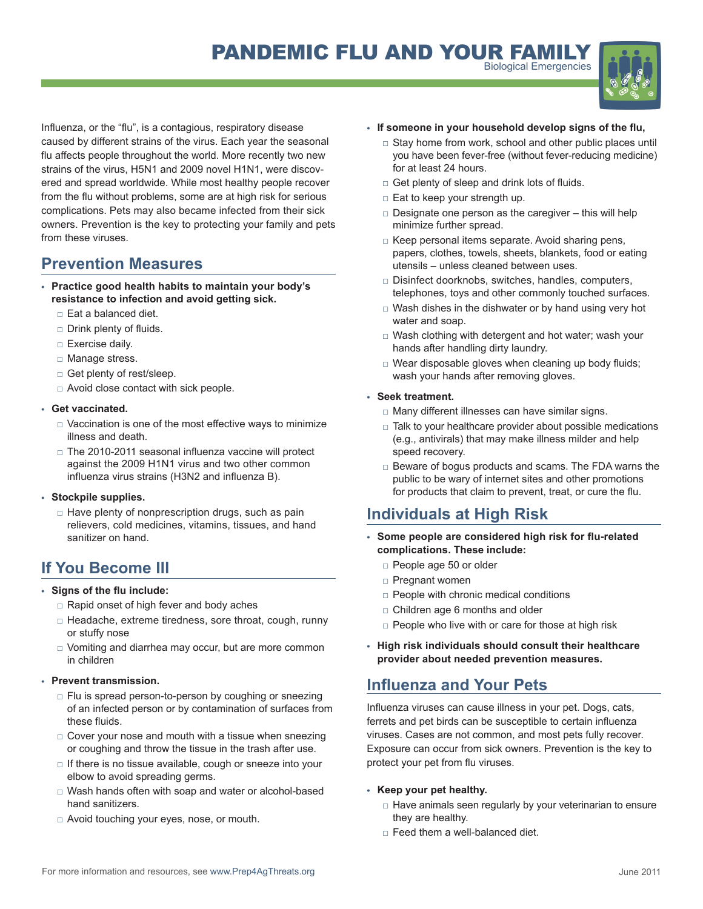

Influenza, or the "flu", is a contagious, respiratory disease caused by different strains of the virus. Each year the seasonal flu affects people throughout the world. More recently two new strains of the virus, H5N1 and 2009 novel H1N1, were discovered and spread worldwide. While most healthy people recover from the flu without problems, some are at high risk for serious complications. Pets may also became infected from their sick owners. Prevention is the key to protecting your family and pets from these viruses.

# **Prevention Measures**

- **• Practice good health habits to maintain your body's resistance to infection and avoid getting sick.**
	- □ Eat a balanced diet.
	- □ Drink plenty of fluids.
	- □ Exercise daily.
	- □ Manage stress.
	- □ Get plenty of rest/sleep.
	- □ Avoid close contact with sick people.

### **• Get vaccinated.**

- $\Box$  Vaccination is one of the most effective ways to minimize illness and death.
- □ The 2010-2011 seasonal influenza vaccine will protect against the 2009 H1N1 virus and two other common influenza virus strains (H3N2 and influenza B).

## **• Stockpile supplies.**

 $\Box$  Have plenty of nonprescription drugs, such as pain relievers, cold medicines, vitamins, tissues, and hand sanitizer on hand.

# **If You Become Ill**

## **• Signs of the flu include:**

- □ Rapid onset of high fever and body aches
- □ Headache, extreme tiredness, sore throat, cough, runny or stuffy nose
- □ Vomiting and diarrhea may occur, but are more common in children

## **Prevent transmission.**

- $\Box$  Flu is spread person-to-person by coughing or sneezing of an infected person or by contamination of surfaces from these fluids.
- $\Box$  Cover your nose and mouth with a tissue when sneezing or coughing and throw the tissue in the trash after use.
- $\Box$  If there is no tissue available, cough or sneeze into your elbow to avoid spreading germs.
- □ Wash hands often with soap and water or alcohol-based hand sanitizers.
- □ Avoid touching your eyes, nose, or mouth.

### **• If someone in your household develop signs of the flu,**

- $\Box$  Stay home from work, school and other public places until you have been fever-free (without fever-reducing medicine) for at least 24 hours.
- □ Get plenty of sleep and drink lots of fluids.
- □ Eat to keep your strength up.
- $\Box$  Designate one person as the caregiver this will help minimize further spread.
- □ Keep personal items separate. Avoid sharing pens, papers, clothes, towels, sheets, blankets, food or eating utensils – unless cleaned between uses.
- □ Disinfect doorknobs, switches, handles, computers, telephones, toys and other commonly touched surfaces.
- $\Box$  Wash dishes in the dishwater or by hand using very hot water and soap.
- □ Wash clothing with detergent and hot water; wash your hands after handling dirty laundry.
- $\Box$  Wear disposable gloves when cleaning up body fluids; wash your hands after removing gloves.

## **• Seek treatment.**

- □ Many different illnesses can have similar signs.
- $\Box$  Talk to your healthcare provider about possible medications (e.g., antivirals) that may make illness milder and help speed recovery.
- □ Beware of bogus products and scams. The FDA warns the public to be wary of internet sites and other promotions for products that claim to prevent, treat, or cure the flu.

# **Individuals at High Risk**

- **Some people are considered high risk for flu-related complications. These include:**
	- □ People age 50 or older
	- □ Pregnant women
	- $\Box$  People with chronic medical conditions
	- □ Children age 6 months and older
	- $\Box$  People who live with or care for those at high risk
- **• High risk individuals should consult their healthcare provider about needed prevention measures.**

# **Influenza and Your Pets**

Influenza viruses can cause illness in your pet. Dogs, cats, ferrets and pet birds can be susceptible to certain influenza viruses. Cases are not common, and most pets fully recover. Exposure can occur from sick owners. Prevention is the key to protect your pet from flu viruses.

## **• Keep your pet healthy.**

- $\Box$  Have animals seen regularly by your veterinarian to ensure they are healthy.
- $\Box$  Feed them a well-balanced diet.